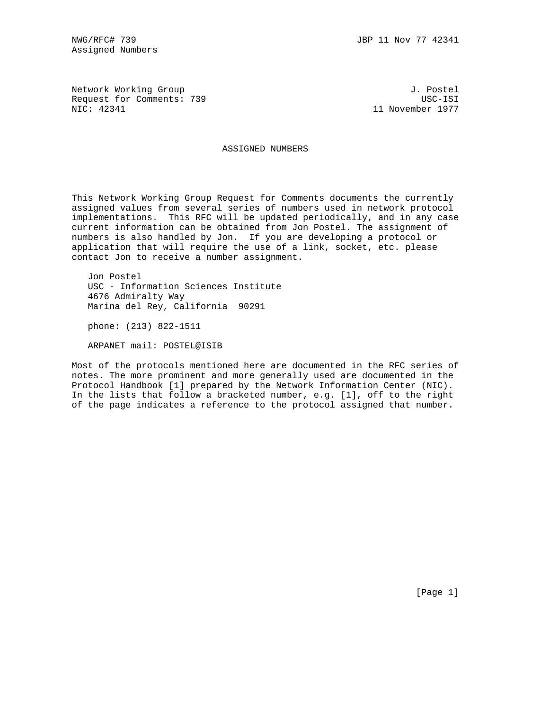Assigned Numbers

Network Working Group 3. 2008 3. Postel Request for Comments: 739 USC-ISI<br>NIC: 42341 11 November 1977

11 November 1977

ASSIGNED NUMBERS

This Network Working Group Request for Comments documents the currently assigned values from several series of numbers used in network protocol implementations. This RFC will be updated periodically, and in any case current information can be obtained from Jon Postel. The assignment of numbers is also handled by Jon. If you are developing a protocol or application that will require the use of a link, socket, etc. please contact Jon to receive a number assignment.

 Jon Postel USC - Information Sciences Institute 4676 Admiralty Way Marina del Rey, California 90291

phone: (213) 822-1511

ARPANET mail: POSTEL@ISIB

Most of the protocols mentioned here are documented in the RFC series of notes. The more prominent and more generally used are documented in the Protocol Handbook [1] prepared by the Network Information Center (NIC). In the lists that follow a bracketed number, e.g. [1], off to the right of the page indicates a reference to the protocol assigned that number.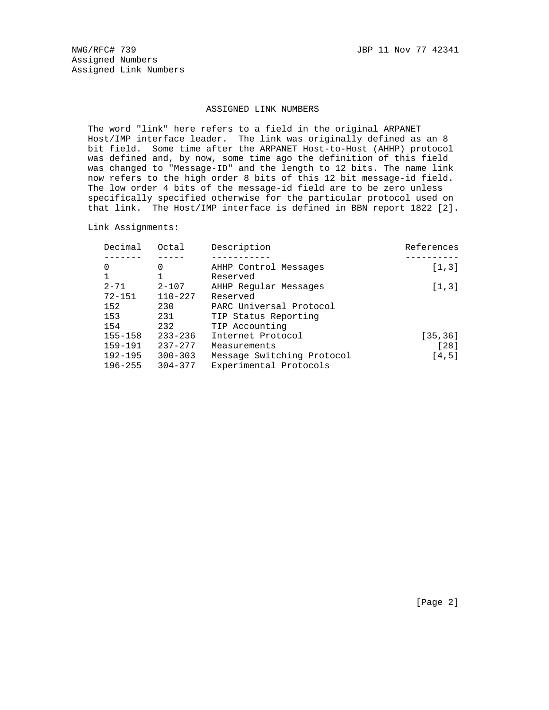NWG/RFC# 739 JBP 11 Nov 77 42341 Assigned Numbers Assigned Link Numbers

#### ASSIGNED LINK NUMBERS

 The word "link" here refers to a field in the original ARPANET Host/IMP interface leader. The link was originally defined as an 8 bit field. Some time after the ARPANET Host-to-Host (AHHP) protocol was defined and, by now, some time ago the definition of this field was changed to "Message-ID" and the length to 12 bits. The name link now refers to the high order 8 bits of this 12 bit message-id field. The low order 4 bits of the message-id field are to be zero unless specifically specified otherwise for the particular protocol used on that link. The Host/IMP interface is defined in BBN report 1822 [2].

Link Assignments:

| 0<br>AHHP Control Messages<br>0<br>1<br>Reserved<br>$2 - 71$<br>$2 - 107$<br>AHHP Reqular Messages<br>$72 - 151$<br>$110 - 227$<br>Reserved<br>152<br>230<br>PARC Universal Protocol<br>153<br>231<br>TIP Status Reporting<br>154<br>232<br>TIP Accounting<br>$155 - 158$<br>$233 - 236$<br>Internet Protocol<br>159-191<br>$237 - 277$<br>Measurements | Decimal | Octal | Description | References |
|---------------------------------------------------------------------------------------------------------------------------------------------------------------------------------------------------------------------------------------------------------------------------------------------------------------------------------------------------------|---------|-------|-------------|------------|
|                                                                                                                                                                                                                                                                                                                                                         |         |       |             |            |
|                                                                                                                                                                                                                                                                                                                                                         |         |       |             | [1,3]      |
|                                                                                                                                                                                                                                                                                                                                                         |         |       |             |            |
|                                                                                                                                                                                                                                                                                                                                                         |         |       |             | [1,3]      |
|                                                                                                                                                                                                                                                                                                                                                         |         |       |             |            |
|                                                                                                                                                                                                                                                                                                                                                         |         |       |             |            |
|                                                                                                                                                                                                                                                                                                                                                         |         |       |             |            |
|                                                                                                                                                                                                                                                                                                                                                         |         |       |             |            |
|                                                                                                                                                                                                                                                                                                                                                         |         |       |             | [35, 36]   |
|                                                                                                                                                                                                                                                                                                                                                         |         |       |             | $[28]$     |
| $192 - 195$<br>Message Switching Protocol<br>$300 - 303$                                                                                                                                                                                                                                                                                                |         |       |             | [4,5]      |
| $196 - 255$<br>$304 - 377$<br>Experimental Protocols                                                                                                                                                                                                                                                                                                    |         |       |             |            |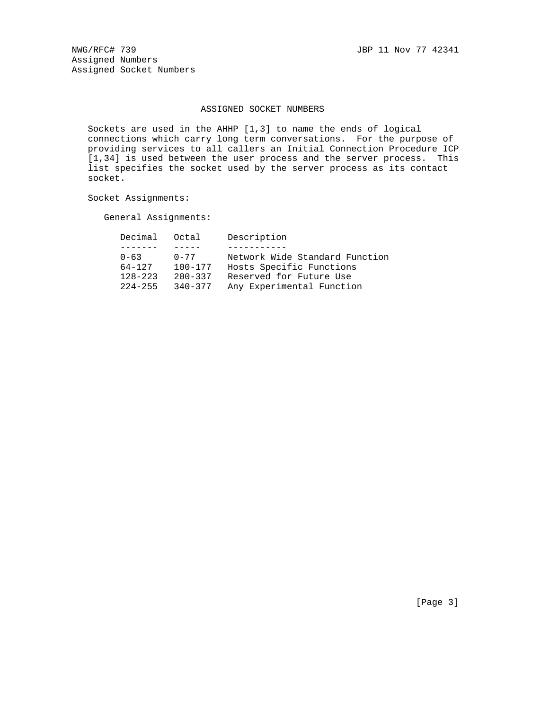NWG/RFC# 739 JBP 11 Nov 77 42341 Assigned Numbers Assigned Socket Numbers

### ASSIGNED SOCKET NUMBERS

 Sockets are used in the AHHP [1,3] to name the ends of logical connections which carry long term conversations. For the purpose of providing services to all callers an Initial Connection Procedure ICP [1,34] is used between the user process and the server process. This list specifies the socket used by the server process as its contact socket.

Socket Assignments:

General Assignments:

| Decimal     | Octal       | Description                    |
|-------------|-------------|--------------------------------|
|             |             |                                |
| $0 - 63$    | $0 - 77$    | Network Wide Standard Function |
| 64-127      | $100 - 177$ | Hosts Specific Functions       |
| $128 - 223$ | $200 - 337$ | Reserved for Future Use        |
| $224 - 255$ | $340 - 377$ | Any Experimental Function      |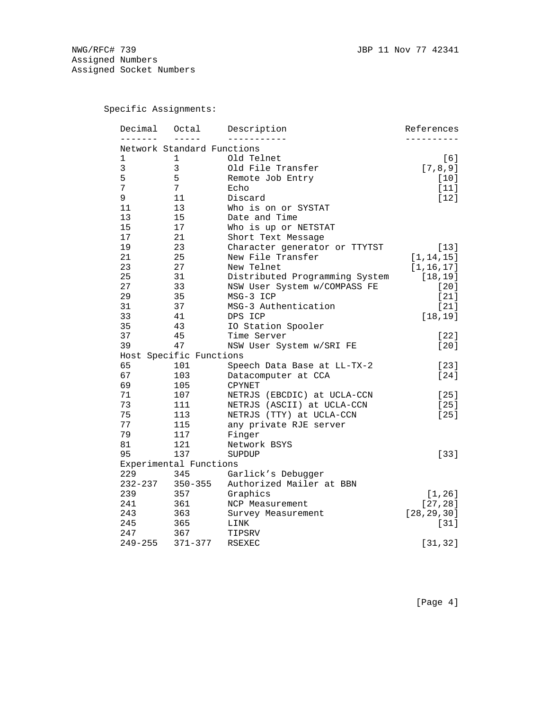NWG/RFC# 739 JBP 11 Nov 77 42341 Assigned Numbers Assigned Socket Numbers

Specific Assignments:

| Decimal      | Octal                      | Description                    | References   |
|--------------|----------------------------|--------------------------------|--------------|
| $- - - -$    | Network Standard Functions |                                |              |
| 1            | 1                          | Old Telnet                     | [6]          |
| $\mathbf{3}$ | 3                          | Old File Transfer              | [7, 8, 9]    |
| 5            | 5                          | Remote Job Entry               | $[10]$       |
| 7            | 7                          | Echo                           | $[11]$       |
| 9            | 11                         | Discard                        | $[12]$       |
| 11           | 13                         | Who is on or SYSTAT            |              |
| 13           | 15                         | Date and Time                  |              |
| 15           | 17                         | Who is up or NETSTAT           |              |
| 17           | 21                         | Short Text Message             |              |
| 19           | 23                         | Character generator or TTYTST  | $[13]$       |
| 21           | 25                         | New File Transfer              | [1, 14, 15]  |
| 23           | 27                         | New Telnet                     | [1, 16, 17]  |
| 25           | 31                         | Distributed Programming System | [18, 19]     |
| 27           | 33                         | NSW User System w/COMPASS FE   | $[20]$       |
| 29           | 35                         | MSG-3 ICP                      | $[21]$       |
| 31           | 37                         | MSG-3 Authentication           | $[21]$       |
| 33           | 41                         | DPS ICP                        | [18, 19]     |
| 35           | 43                         | IO Station Spooler             |              |
| 37           | 45                         | Time Server                    | $[22]$       |
| 39           | 47                         | NSW User System w/SRI FE       | $[20]$       |
|              | Host Specific Functions    |                                |              |
| 65           | 101                        | Speech Data Base at LL-TX-2    | $[23]$       |
| 67           | 103                        | Datacomputer at CCA            | [24]         |
| 69           | 105                        | <b>CPYNET</b>                  |              |
| 71           | 107                        | NETRJS (EBCDIC) at UCLA-CCN    | $[25]$       |
| 73           | 111                        | NETRJS (ASCII) at UCLA-CCN     | $[25]$       |
| 75           | 113                        | NETRJS (TTY) at UCLA-CCN       | $[25]$       |
| 77           | 115                        | any private RJE server         |              |
| 79           | 117                        | Finger                         |              |
| 81           | 121                        | Network BSYS                   |              |
| 95           | 137                        | SUPDUP                         | $[33]$       |
|              | Experimental Functions     |                                |              |
| 229          | 345                        | Garlick's Debugger             |              |
| $232 - 237$  | $350 - 355$                | Authorized Mailer at BBN       |              |
| 239          | 357                        | Graphics                       | [1, 26]      |
| 241          | 361                        | NCP Measurement                | [27, 28]     |
| 243          | 363                        | Survey Measurement             | [28, 29, 30] |
| 245          | 365                        | LINK                           | $[31]$       |
| 247          | 367                        | TIPSRV                         |              |
| 249-255      | $371 - 377$                | <b>RSEXEC</b>                  | [31, 32]     |

[Page 4]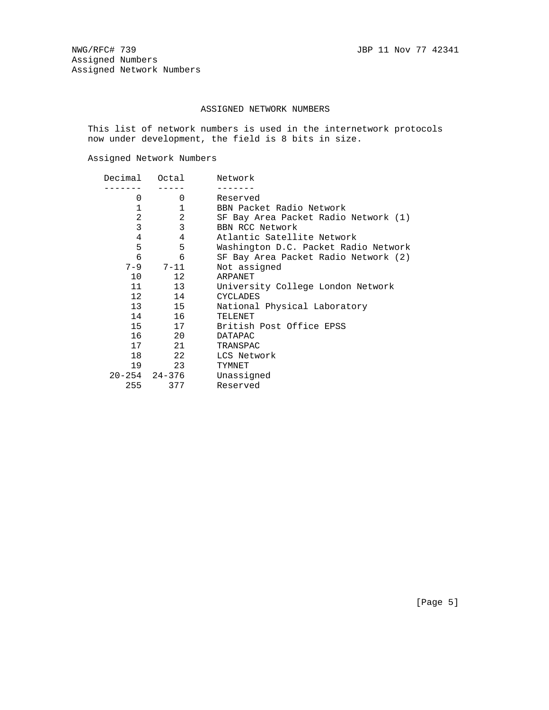# ASSIGNED NETWORK NUMBERS

 This list of network numbers is used in the internetwork protocols now under development, the field is 8 bits in size.

Assigned Network Numbers

| Decimal | Octal            | Network                              |
|---------|------------------|--------------------------------------|
|         |                  |                                      |
| 0       | 0                | Reserved                             |
| 1       | 1                | BBN Packet Radio Network             |
| 2       | 2                | SF Bay Area Packet Radio Network (1) |
| 3       | 3                | BBN RCC Network                      |
| 4       | 4                | Atlantic Satellite Network           |
| 5       | 5                | Washington D.C. Packet Radio Network |
| 6       | 6                | SF Bay Area Packet Radio Network (2) |
|         | $7 - 9$ $7 - 11$ | Not assigned                         |
| 10      | 12               | ARPANET                              |
| 11      | 13               | University College London Network    |
| 12      | 14               | <b>CYCLADES</b>                      |
| 13      | 15               | National Physical Laboratory         |
|         | 14 1<br>16       | TELENET                              |
|         | 15<br>17         | British Post Office EPSS             |
|         | 16 20            | DATAPAC                              |
| 17      | 21               | TRANSPAC                             |
| 18      | 22               | LCS Network                          |
| 19      | 23               | TYMNET                               |
|         | 20-254 24-376    | Unassigned                           |
| 255     | 377              | Reserved                             |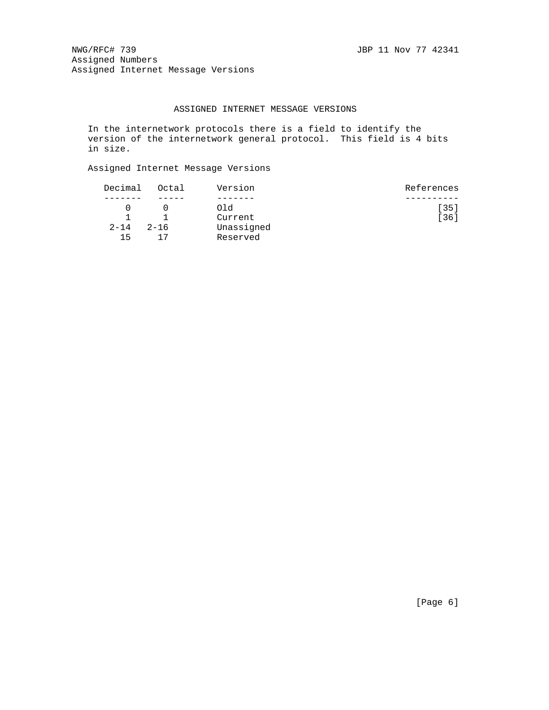NWG/RFC# 739 JBP 11 Nov 77 42341 Assigned Numbers Assigned Internet Message Versions

## ASSIGNED INTERNET MESSAGE VERSIONS

 In the internetwork protocols there is a field to identify the version of the internetwork general protocol. This field is 4 bits in size.

Assigned Internet Message Versions

| Decimal<br>Octal     | Version    | References |
|----------------------|------------|------------|
|                      |            |            |
|                      | Old        | [35]       |
|                      | Current    | [36]       |
| $2 - 14$<br>$2 - 16$ | Unassigned |            |
| 15                   | Reserved   |            |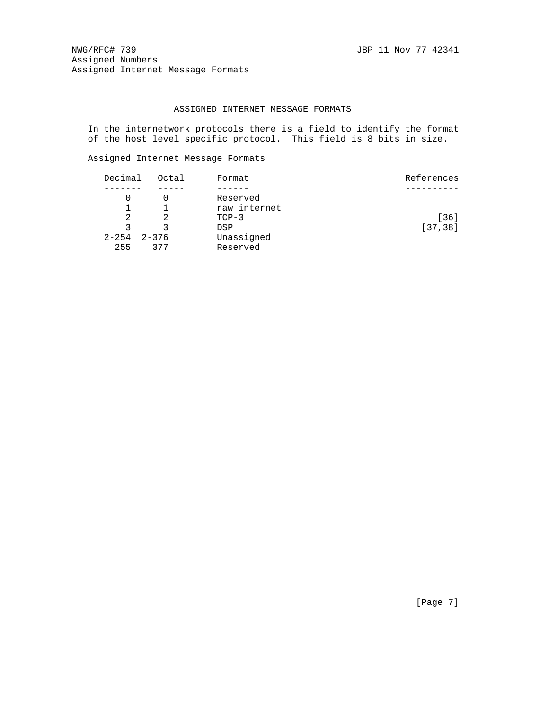NWG/RFC# 739 JBP 11 Nov 77 42341 Assigned Numbers Assigned Internet Message Formats

## ASSIGNED INTERNET MESSAGE FORMATS

 In the internetwork protocols there is a field to identify the format of the host level specific protocol. This field is 8 bits in size.

Assigned Internet Message Formats

| Decimal   | Octal     | Format       | References |
|-----------|-----------|--------------|------------|
|           |           |              |            |
|           |           | Reserved     |            |
|           |           | raw internet |            |
| 2         |           | $TCP-3$      | [36]       |
| 2         |           | DSP          | [37, 38]   |
| $2 - 254$ | $2 - 376$ | Unassigned   |            |
| 255       | 377       | Reserved     |            |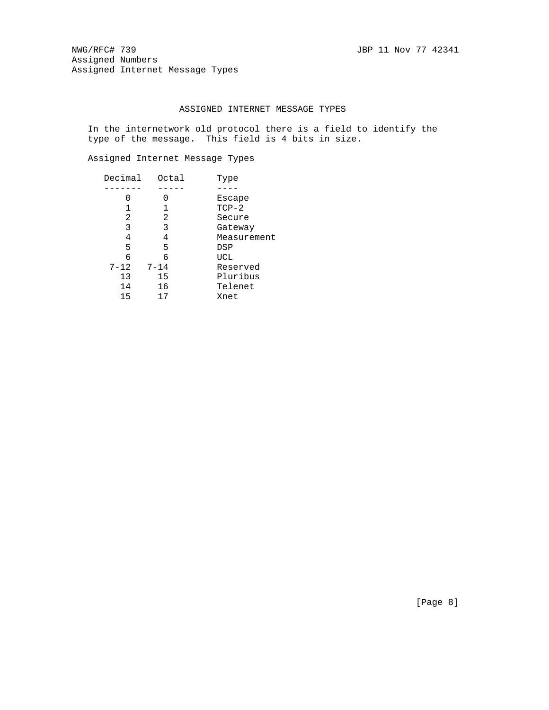NWG/RFC# 739 JBP 11 Nov 77 42341 Assigned Numbers Assigned Internet Message Types

# ASSIGNED INTERNET MESSAGE TYPES

 In the internetwork old protocol there is a field to identify the type of the message. This field is 4 bits in size.

Assigned Internet Message Types

| Decimal  | Octal    | Type        |
|----------|----------|-------------|
|          |          |             |
|          |          | Escape      |
|          |          | $TCP-2$     |
| 2        | 2        | Secure      |
| 3        | 3        | Gateway     |
| 4        | 4        | Measurement |
| 5        | 5        | DSP         |
| 6        | 6        | UCL         |
| $7 - 12$ | $7 - 14$ | Reserved    |
| 13       | 15       | Pluribus    |
| 14       | 16       | Telenet     |
| 15       | 17       | Xnet        |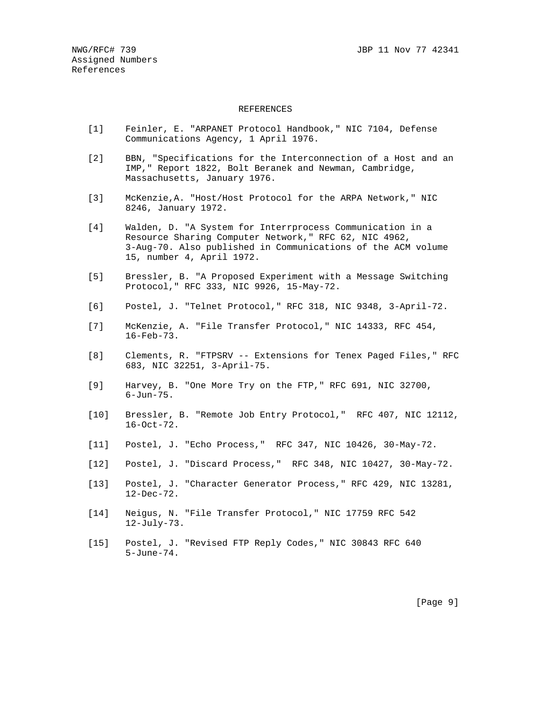#### REFERENCES

- [1] Feinler, E. "ARPANET Protocol Handbook," NIC 7104, Defense Communications Agency, 1 April 1976.
- [2] BBN, "Specifications for the Interconnection of a Host and an IMP," Report 1822, Bolt Beranek and Newman, Cambridge, Massachusetts, January 1976.
- [3] McKenzie,A. "Host/Host Protocol for the ARPA Network," NIC 8246, January 1972.
- [4] Walden, D. "A System for Interrprocess Communication in a Resource Sharing Computer Network," RFC 62, NIC 4962, 3-Aug-70. Also published in Communications of the ACM volume 15, number 4, April 1972.
- [5] Bressler, B. "A Proposed Experiment with a Message Switching Protocol," RFC 333, NIC 9926, 15-May-72.
- [6] Postel, J. "Telnet Protocol," RFC 318, NIC 9348, 3-April-72.
- [7] McKenzie, A. "File Transfer Protocol," NIC 14333, RFC 454, 16-Feb-73.
- [8] Clements, R. "FTPSRV -- Extensions for Tenex Paged Files," RFC 683, NIC 32251, 3-April-75.
- [9] Harvey, B. "One More Try on the FTP," RFC 691, NIC 32700, 6-Jun-75.
- [10] Bressler, B. "Remote Job Entry Protocol," RFC 407, NIC 12112, 16-Oct-72.
- [11] Postel, J. "Echo Process," RFC 347, NIC 10426, 30-May-72.
- [12] Postel, J. "Discard Process," RFC 348, NIC 10427, 30-May-72.
- [13] Postel, J. "Character Generator Process," RFC 429, NIC 13281, 12-Dec-72.
- [14] Neigus, N. "File Transfer Protocol," NIC 17759 RFC 542 12-July-73.
- [15] Postel, J. "Revised FTP Reply Codes," NIC 30843 RFC 640 5-June-74.

[Page 9]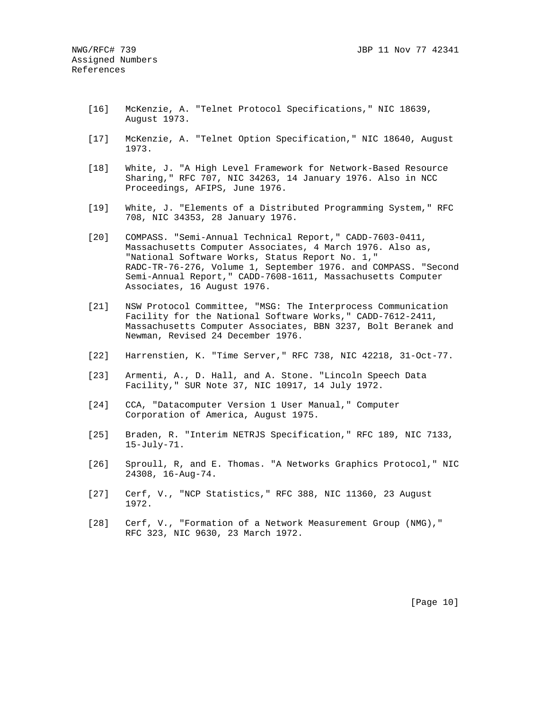- [16] McKenzie, A. "Telnet Protocol Specifications," NIC 18639, August 1973.
- [17] McKenzie, A. "Telnet Option Specification," NIC 18640, August 1973.
- [18] White, J. "A High Level Framework for Network-Based Resource Sharing," RFC 707, NIC 34263, 14 January 1976. Also in NCC Proceedings, AFIPS, June 1976.
- [19] White, J. "Elements of a Distributed Programming System," RFC 708, NIC 34353, 28 January 1976.
- [20] COMPASS. "Semi-Annual Technical Report," CADD-7603-0411, Massachusetts Computer Associates, 4 March 1976. Also as, "National Software Works, Status Report No. 1," RADC-TR-76-276, Volume 1, September 1976. and COMPASS. "Second Semi-Annual Report," CADD-7608-1611, Massachusetts Computer Associates, 16 August 1976.
- [21] NSW Protocol Committee, "MSG: The Interprocess Communication Facility for the National Software Works," CADD-7612-2411, Massachusetts Computer Associates, BBN 3237, Bolt Beranek and Newman, Revised 24 December 1976.
- [22] Harrenstien, K. "Time Server," RFC 738, NIC 42218, 31-Oct-77.
- [23] Armenti, A., D. Hall, and A. Stone. "Lincoln Speech Data Facility," SUR Note 37, NIC 10917, 14 July 1972.
- [24] CCA, "Datacomputer Version 1 User Manual," Computer Corporation of America, August 1975.
- [25] Braden, R. "Interim NETRJS Specification," RFC 189, NIC 7133, 15-July-71.
- [26] Sproull, R, and E. Thomas. "A Networks Graphics Protocol," NIC 24308, 16-Aug-74.
- [27] Cerf, V., "NCP Statistics," RFC 388, NIC 11360, 23 August 1972.
- [28] Cerf, V., "Formation of a Network Measurement Group (NMG)," RFC 323, NIC 9630, 23 March 1972.

[Page 10]